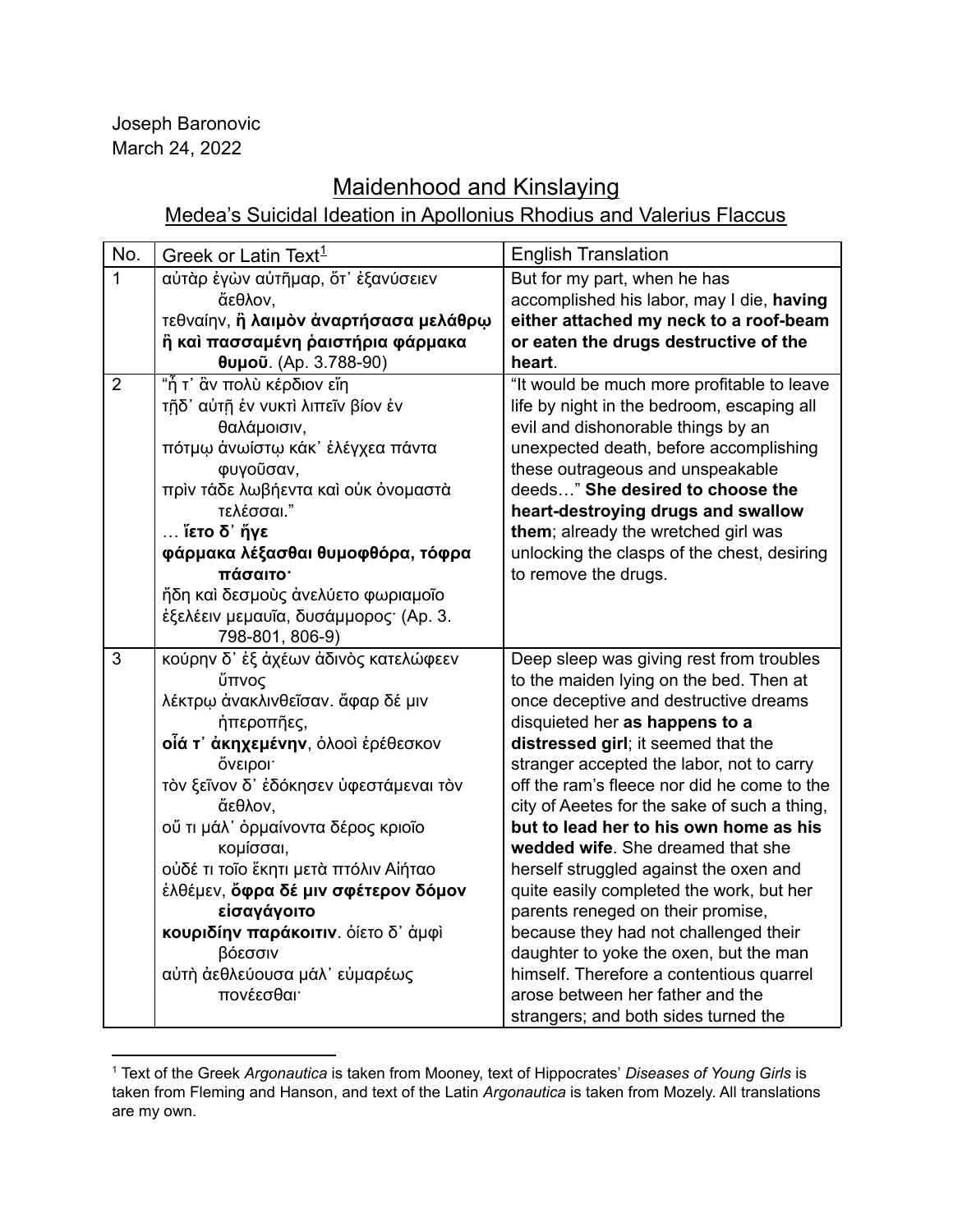Joseph Baronovic March 24, 2022

## Maidenhood and Kinslaying

## Medea's Suicidal Ideation in Apollonius Rhodius and Valerius Flaccus

| No.            | Greek or Latin Text <sup>1</sup>       | <b>English Translation</b>                   |
|----------------|----------------------------------------|----------------------------------------------|
| $\overline{1}$ | αὐτὰρ ἐγὼν αὐτῆμαρ, ὅτ' ἐξανύσειεν     | But for my part, when he has                 |
|                | ἄεθλον,                                | accomplished his labor, may I die, having    |
|                | τεθναίην, η λαιμόν άναρτήσασα μελάθρω  | either attached my neck to a roof-beam       |
|                | ἢ καὶ πασσαμένη ῥαιστήρια φάρμακα      | or eaten the drugs destructive of the        |
|                | <b>θυμοῦ</b> . (Ap. 3.788-90)          | heart.                                       |
| $\overline{2}$ | "ἦ τ' ἂν πολὺ κέρδιον εἴη              | "It would be much more profitable to leave   |
|                | τῆδ' αὐτῆ ἐν νυκτι λιπεῖν βίον ἐν      | life by night in the bedroom, escaping all   |
|                | θαλάμοισιν,                            | evil and dishonorable things by an           |
|                | πότμω άνωίστω κάκ' έλέγχεα πάντα       | unexpected death, before accomplishing       |
|                | φυγοῦσαν,                              | these outrageous and unspeakable             |
|                | πριν τάδε λωβήεντα και ούκ όνομαστά    | deeds" She desired to choose the             |
|                | τελέσσαι."                             | heart-destroying drugs and swallow           |
|                | … ἵετο δ' ἥγε                          | them; already the wretched girl was          |
|                | φάρμακα λέξασθαι θυμοφθόρα, τόφρα      | unlocking the clasps of the chest, desiring  |
|                | πάσαιτο·                               | to remove the drugs.                         |
|                | ἤδη καὶ δεσμοὺς ἀνελύετο φωριαμοῖο     |                                              |
|                | έξελέειν μεμαυΐα, δυσάμμορος· (Ap. 3.  |                                              |
|                | 798-801, 806-9)                        |                                              |
| 3              | κούρην δ' έξ άχέων άδινός κατελώφεεν   | Deep sleep was giving rest from troubles     |
|                | ὕπνος                                  | to the maiden lying on the bed. Then at      |
|                | λέκτρω άνακλινθεΐσαν. άφαρ δέ μιν      | once deceptive and destructive dreams        |
|                | ήπεροπῆες,                             | disquieted her as happens to a               |
|                | οίά τ' άκηχεμένην, όλοοι έρέθεσκον     | distressed girl; it seemed that the          |
|                | όνειροι·                               | stranger accepted the labor, not to carry    |
|                | τον ξεΐνον δ' έδόκησεν ύφεστάμεναι τον | off the ram's fleece nor did he come to the  |
|                | ἄεθλον,                                | city of Aeetes for the sake of such a thing, |
|                | οὔ τι μάλ' όρμαίνοντα δέρος κριοΐο     | but to lead her to his own home as his       |
|                | κομίσσαι,                              | wedded wife. She dreamed that she            |
|                | ούδέ τι τοΐο ἕκητι μετὰ πτόλιν Αἰήταο  | herself struggled against the oxen and       |
|                | έλθέμεν, όφρα δέ μιν σφέτερον δόμον    | quite easily completed the work, but her     |
|                | είσαγάγοιτο                            | parents reneged on their promise,            |
|                | κουριδίην παράκοιτιν. όίετο δ' άμφι    | because they had not challenged their        |
|                | βόεσσιν                                | daughter to yoke the oxen, but the man       |
|                | αύτη άεθλεύουσα μάλ' εύμαρέως          | himself. Therefore a contentious quarrel     |
|                | πονέεσθαι                              | arose between her father and the             |
|                |                                        | strangers; and both sides turned the         |

<sup>1</sup> Text of the Greek *Argonautica* is taken from Mooney, text of Hippocrates' *Diseases of Young Girls* is taken from Fleming and Hanson, and text of the Latin *Argonautica* is taken from Mozely. All translations are my own.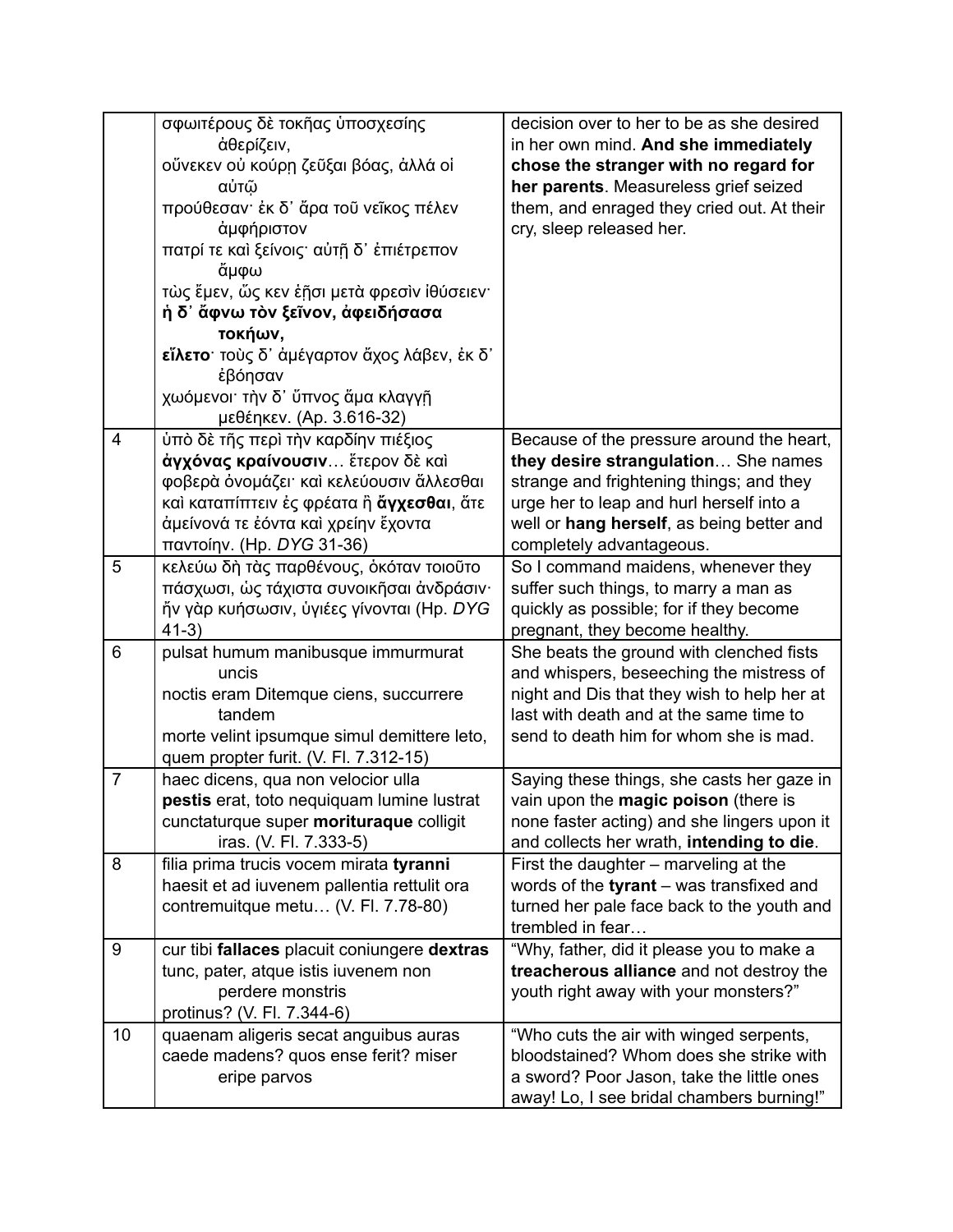|                | σφωιτέρους δε τοκῆας ὑποσχεσίης<br>άθερίζειν,<br>οὕνεκεν οὐ κούρη ζεῦξαι βόας, ἀλλά οἱ<br>αὐτῶ<br>προύθεσαν· έκ δ' ἄρα τοῦ νεῖκος πέλεν<br>άμφήριστον<br>πατρί τε και ξείνοις· αὐτῆ δ' ἐπιέτρεπον<br>ἄμφω<br>τὼς ἔμεν, ὥς κεν ἑῆσι μετὰ φρεσιν Ιθύσειεν·<br>ἡ δ' ἄφνω τὸν ξεῖνον, ἀφειδήσασα<br>τοκήων,<br>εΐλετο· τοὺς δ' ἀμέγαρτον ἄχος λάβεν, ἐκ δ'<br>έβόησαν<br>χωόμενοι· τὴν δ' ὕπνος ἅμα κλαγγῆ<br>μεθέηκεν. (Ap. 3.616-32) | decision over to her to be as she desired<br>in her own mind. And she immediately<br>chose the stranger with no regard for<br>her parents. Measureless grief seized<br>them, and enraged they cried out. At their<br>cry, sleep released her.     |
|----------------|------------------------------------------------------------------------------------------------------------------------------------------------------------------------------------------------------------------------------------------------------------------------------------------------------------------------------------------------------------------------------------------------------------------------------------|---------------------------------------------------------------------------------------------------------------------------------------------------------------------------------------------------------------------------------------------------|
| 4              | υπό δε τῆς περὶ τὴν καρδίην πιέξιος<br>άγχόνας κραίνουσιν ἕτερον δε και<br>φοβερά όνομάζει και κελεύουσιν άλλεσθαι<br>καὶ καταπίπτειν ἐς φρέατα ἢ άγχεσθαι, ἅτε<br>άμείνονά τε έόντα και χρείην έχοντα<br>παντοίην. (Hp. DYG 31-36)                                                                                                                                                                                                | Because of the pressure around the heart,<br>they desire strangulation She names<br>strange and frightening things; and they<br>urge her to leap and hurl herself into a<br>well or hang herself, as being better and<br>completely advantageous. |
| 5              | κελεύω δη τας παρθένους, οκόταν τοιούτο<br>πάσχωσι, ώς τάχιστα συνοικήσαι άνδράσιν·<br>ἤν γὰρ κυήσωσιν, ὑγιέες γίνονται (Hp. DYG<br>$41-3)$                                                                                                                                                                                                                                                                                        | So I command maidens, whenever they<br>suffer such things, to marry a man as<br>quickly as possible; for if they become<br>pregnant, they become healthy.                                                                                         |
| 6              | pulsat humum manibusque immurmurat<br>uncis<br>noctis eram Ditemque ciens, succurrere<br>tandem<br>morte velint ipsumque simul demittere leto,<br>quem propter furit. (V. Fl. 7.312-15)                                                                                                                                                                                                                                            | She beats the ground with clenched fists<br>and whispers, beseeching the mistress of<br>night and Dis that they wish to help her at<br>last with death and at the same time to<br>send to death him for whom she is mad.                          |
| $\overline{7}$ | haec dicens, qua non velocior ulla<br>pestis erat, toto nequiquam lumine lustrat<br>cunctaturque super morituraque colligit<br>iras. (V. Fl. 7.333-5)                                                                                                                                                                                                                                                                              | Saying these things, she casts her gaze in<br>vain upon the magic poison (there is<br>none faster acting) and she lingers upon it<br>and collects her wrath, intending to die.                                                                    |
| 8              | filia prima trucis vocem mirata tyranni<br>haesit et ad iuvenem pallentia rettulit ora<br>contremuitque metu (V. Fl. 7.78-80)                                                                                                                                                                                                                                                                                                      | First the daughter - marveling at the<br>words of the tyrant - was transfixed and<br>turned her pale face back to the youth and<br>trembled in fear                                                                                               |
| 9              | cur tibi fallaces placuit coniungere dextras<br>tunc, pater, atque istis iuvenem non<br>perdere monstris<br>protinus? (V. Fl. 7.344-6)                                                                                                                                                                                                                                                                                             | "Why, father, did it please you to make a<br>treacherous alliance and not destroy the<br>youth right away with your monsters?"                                                                                                                    |
| 10             | quaenam aligeris secat anguibus auras<br>caede madens? quos ense ferit? miser<br>eripe parvos                                                                                                                                                                                                                                                                                                                                      | "Who cuts the air with winged serpents,<br>bloodstained? Whom does she strike with<br>a sword? Poor Jason, take the little ones<br>away! Lo, I see bridal chambers burning!"                                                                      |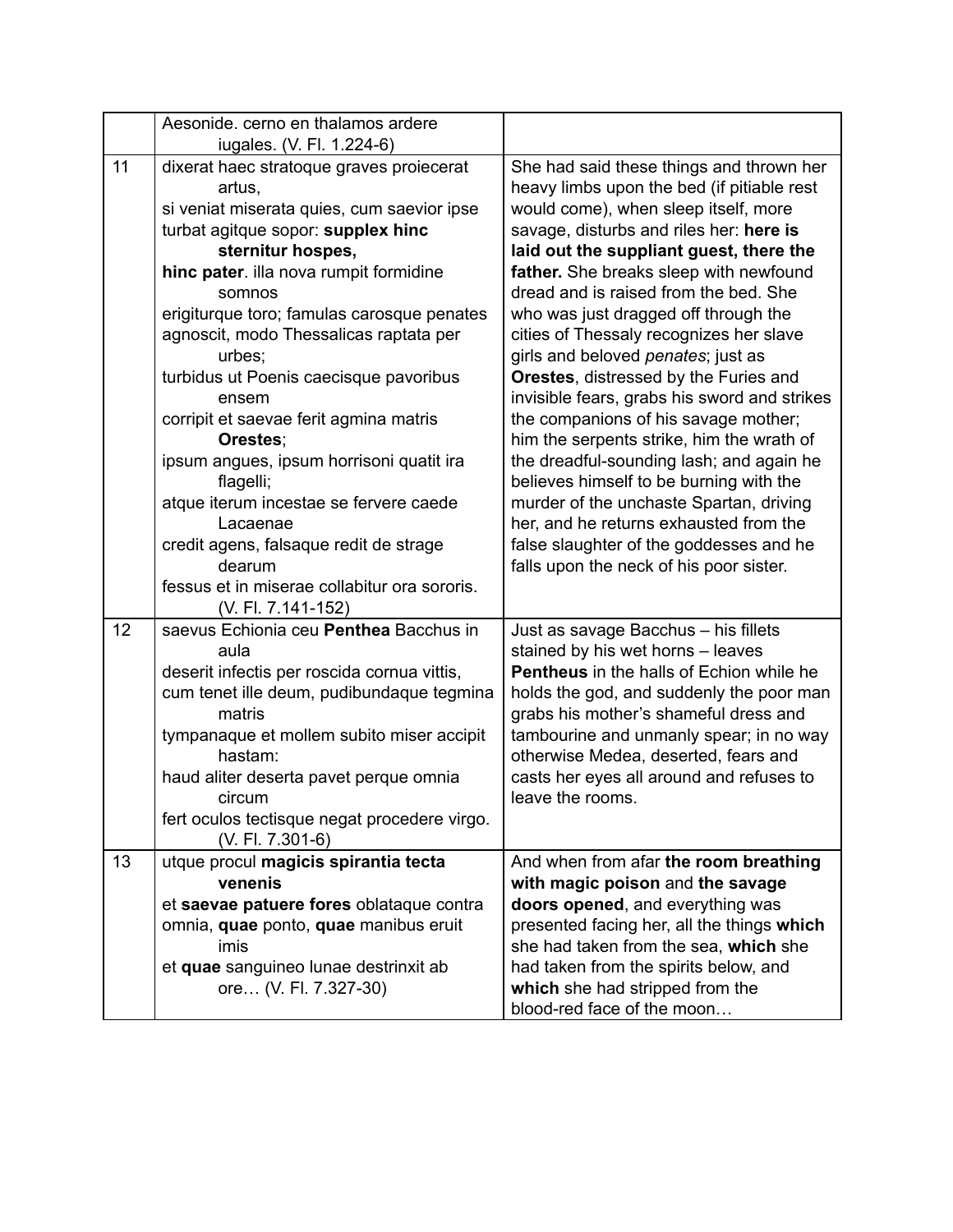|    | Aesonide. cerno en thalamos ardere                      |                                                                                    |
|----|---------------------------------------------------------|------------------------------------------------------------------------------------|
|    | iugales. (V. Fl. 1.224-6)                               |                                                                                    |
| 11 | dixerat haec stratoque graves proiecerat                | She had said these things and thrown her                                           |
|    | artus,                                                  | heavy limbs upon the bed (if pitiable rest                                         |
|    | si veniat miserata quies, cum saevior ipse              | would come), when sleep itself, more                                               |
|    | turbat agitque sopor: supplex hinc<br>sternitur hospes, | savage, disturbs and riles her: here is<br>laid out the suppliant guest, there the |
|    | hinc pater. illa nova rumpit formidine                  | father. She breaks sleep with newfound                                             |
|    | somnos                                                  | dread and is raised from the bed. She                                              |
|    | erigiturque toro; famulas carosque penates              | who was just dragged off through the                                               |
|    | agnoscit, modo Thessalicas raptata per                  | cities of Thessaly recognizes her slave                                            |
|    | urbes;                                                  | girls and beloved penates; just as                                                 |
|    | turbidus ut Poenis caecisque pavoribus                  | Orestes, distressed by the Furies and                                              |
|    | ensem                                                   | invisible fears, grabs his sword and strikes                                       |
|    | corripit et saevae ferit agmina matris                  | the companions of his savage mother;                                               |
|    | Orestes;                                                | him the serpents strike, him the wrath of                                          |
|    | ipsum angues, ipsum horrisoni quatit ira                | the dreadful-sounding lash; and again he                                           |
|    | flagelli;                                               | believes himself to be burning with the                                            |
|    | atque iterum incestae se fervere caede                  | murder of the unchaste Spartan, driving                                            |
|    | Lacaenae                                                | her, and he returns exhausted from the                                             |
|    | credit agens, falsaque redit de strage                  | false slaughter of the goddesses and he                                            |
|    | dearum                                                  | falls upon the neck of his poor sister.                                            |
|    | fessus et in miserae collabitur ora sororis.            |                                                                                    |
|    | (V. Fl. 7.141-152)                                      |                                                                                    |
| 12 | saevus Echionia ceu Penthea Bacchus in                  | Just as savage Bacchus - his fillets                                               |
|    | aula                                                    | stained by his wet horns - leaves                                                  |
|    | deserit infectis per roscida cornua vittis,             | <b>Pentheus</b> in the halls of Echion while he                                    |
|    | cum tenet ille deum, pudibundaque tegmina<br>matris     | holds the god, and suddenly the poor man<br>grabs his mother's shameful dress and  |
|    | tympanaque et mollem subito miser accipit               | tambourine and unmanly spear; in no way                                            |
|    | hastam:                                                 | otherwise Medea, deserted, fears and                                               |
|    | haud aliter deserta pavet perque omnia                  | casts her eyes all around and refuses to                                           |
|    | circum                                                  | leave the rooms.                                                                   |
|    | fert oculos tectisque negat procedere virgo.            |                                                                                    |
|    | (V. Fl. 7.301-6)                                        |                                                                                    |
| 13 | utque procul magicis spirantia tecta                    | And when from afar the room breathing                                              |
|    | venenis                                                 | with magic poison and the savage                                                   |
|    | et saevae patuere fores oblataque contra                | doors opened, and everything was                                                   |
|    | omnia, quae ponto, quae manibus eruit                   | presented facing her, all the things which                                         |
|    | imis                                                    | she had taken from the sea, which she                                              |
|    | et quae sanguineo lunae destrinxit ab                   | had taken from the spirits below, and                                              |
|    | ore (V. Fl. 7.327-30)                                   | which she had stripped from the                                                    |
|    |                                                         | blood-red face of the moon                                                         |